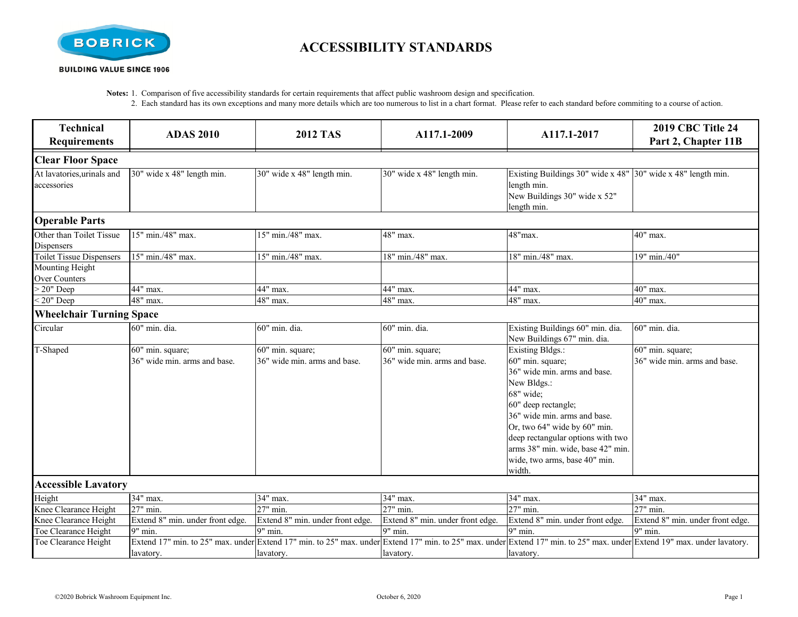

## **ACCESSIBILITY STANDARDS**

**Notes:** 1. Comparison of five accessibility standards for certain requirements that affect public washroom design and specification.

2. Each standard has its own exceptions and many more details which are too numerous to list in a chart format. Please refer to each standard before commiting to a course of action.

| <b>Technical</b><br><b>Requirements</b>                                           | <b>ADAS 2010</b>                                 | <b>2012 TAS</b>                                  | A117.1-2009                                      | A117.1-2017                                                                                                                                                                                                                                                                                                  | <b>2019 CBC Title 24</b><br>Part 2, Chapter 11B  |
|-----------------------------------------------------------------------------------|--------------------------------------------------|--------------------------------------------------|--------------------------------------------------|--------------------------------------------------------------------------------------------------------------------------------------------------------------------------------------------------------------------------------------------------------------------------------------------------------------|--------------------------------------------------|
| <b>Clear Floor Space</b>                                                          |                                                  |                                                  |                                                  |                                                                                                                                                                                                                                                                                                              |                                                  |
| At lavatories, urinals and<br>accessories                                         | 30" wide x 48" length min.                       | 30" wide x 48" length min.                       | 30" wide x 48" length min.                       | Existing Buildings 30" wide x 48" 30" wide x 48" length min.<br>length min.<br>New Buildings 30" wide x 52"<br>length min.                                                                                                                                                                                   |                                                  |
| <b>Operable Parts</b>                                                             |                                                  |                                                  |                                                  |                                                                                                                                                                                                                                                                                                              |                                                  |
| Other than Toilet Tissue<br>Dispensers                                            | 15" min./48" max.                                | 15" min./48" max.                                | 48" max.                                         | 48"max.                                                                                                                                                                                                                                                                                                      | 40" max.                                         |
| <b>Toilet Tissue Dispensers</b><br><b>Mounting Height</b><br><b>Over Counters</b> | 15" min./48" max.                                | 15" min./48" max.                                | 18" min./48" max.                                | 18" min./48" max.                                                                                                                                                                                                                                                                                            | 19" min./40"                                     |
| $> 20"$ Deep                                                                      | 44" max.                                         | 44" max.                                         | 44" max.                                         | 44" max.                                                                                                                                                                                                                                                                                                     | 40" max.                                         |
| $\sqrt{20}$ " Deep                                                                | $\overline{48}$ " max.                           | $48"$ max.                                       | 48" max.                                         | 48" max.                                                                                                                                                                                                                                                                                                     | 40" max.                                         |
| <b>Wheelchair Turning Space</b>                                                   |                                                  |                                                  |                                                  |                                                                                                                                                                                                                                                                                                              |                                                  |
| Circular                                                                          | 60" min. dia.                                    | 60" min. dia.                                    | 60" min. dia.                                    | Existing Buildings 60" min. dia.<br>New Buildings 67" min. dia.                                                                                                                                                                                                                                              | 60" min. dia.                                    |
| T-Shaped                                                                          | 60" min. square;<br>36" wide min. arms and base. | 60" min. square;<br>36" wide min. arms and base. | 60" min. square;<br>36" wide min. arms and base. | Existing Bldgs.:<br>60" min. square;<br>36" wide min. arms and base.<br>New Bldgs.:<br>68" wide;<br>60" deep rectangle;<br>36" wide min. arms and base.<br>Or, two 64" wide by 60" min.<br>deep rectangular options with two<br>arms 38" min. wide, base 42" min.<br>wide, two arms, base 40" min.<br>width. | 60" min. square;<br>36" wide min. arms and base. |
| <b>Accessible Lavatory</b>                                                        |                                                  |                                                  |                                                  |                                                                                                                                                                                                                                                                                                              |                                                  |
| Height                                                                            | 34" max.                                         | 34" max.                                         | 34" max.                                         | 34" max.                                                                                                                                                                                                                                                                                                     | 34" max.                                         |
| Knee Clearance Height                                                             | 27" min.                                         | 27" min.                                         | 27" min.                                         | 27" min.                                                                                                                                                                                                                                                                                                     | 27" min.                                         |
| Knee Clearance Height                                                             | Extend 8" min. under front edge.                 | Extend 8" min. under front edge.                 | Extend 8" min. under front edge.                 | Extend 8" min. under front edge.                                                                                                                                                                                                                                                                             | Extend 8" min. under front edge.                 |
| Toe Clearance Height                                                              | 9" min.                                          | $\overline{9}$ " min.                            | 9" min.                                          | 9" min.                                                                                                                                                                                                                                                                                                      | $\overline{9}$ " min.                            |
| Toe Clearance Height                                                              | lavatory.                                        | lavatory.                                        | lavatory.                                        | Extend 17" min. to 25" max. under Extend 17" min. to 25" max. under Extend 17" min. to 25" max. under Extend 17" min. to 25" max. under Extend 19" max. under lavatory.<br>lavatory.                                                                                                                         |                                                  |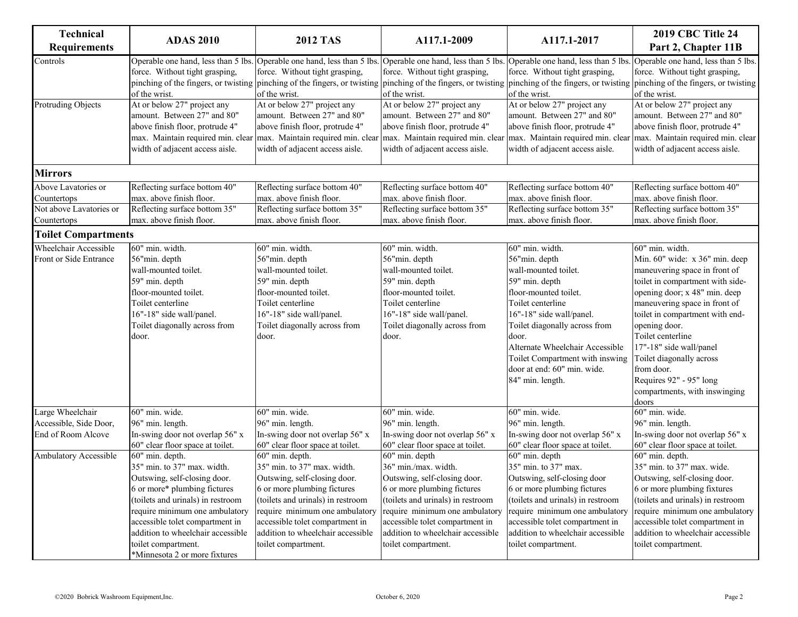| <b>Technical</b><br><b>Requirements</b>                                                   | <b>ADAS 2010</b>                                                                                                                                                                                                                                                                                                                                                                                                                   | <b>2012 TAS</b>                                                                                                                                                                                                                                                                                                                                                                                  | A117.1-2009                                                                                                                                                                                                                                                                                                                                                                              | A117.1-2017                                                                                                                                                                                                                                                                                                                                                                             | <b>2019 CBC Title 24</b><br>Part 2, Chapter 11B                                                                                                                                                                                                                                                                                                                                                             |
|-------------------------------------------------------------------------------------------|------------------------------------------------------------------------------------------------------------------------------------------------------------------------------------------------------------------------------------------------------------------------------------------------------------------------------------------------------------------------------------------------------------------------------------|--------------------------------------------------------------------------------------------------------------------------------------------------------------------------------------------------------------------------------------------------------------------------------------------------------------------------------------------------------------------------------------------------|------------------------------------------------------------------------------------------------------------------------------------------------------------------------------------------------------------------------------------------------------------------------------------------------------------------------------------------------------------------------------------------|-----------------------------------------------------------------------------------------------------------------------------------------------------------------------------------------------------------------------------------------------------------------------------------------------------------------------------------------------------------------------------------------|-------------------------------------------------------------------------------------------------------------------------------------------------------------------------------------------------------------------------------------------------------------------------------------------------------------------------------------------------------------------------------------------------------------|
| Controls                                                                                  | Operable one hand, less than 5 lbs.<br>force. Without tight grasping,<br>of the wrist.                                                                                                                                                                                                                                                                                                                                             | force. Without tight grasping,<br>of the wrist.                                                                                                                                                                                                                                                                                                                                                  | Operable one hand, less than 5 lbs. Operable one hand, less than 5 lbs.<br>force. Without tight grasping,<br>pinching of the fingers, or twisting pinching of the fingers, or twisting pinching of the fingers, or twisting pinching of the fingers, or twisting pinching of the fingers, or twisting<br>of the wrist.                                                                   | Operable one hand, less than 5 lbs.<br>force. Without tight grasping,<br>of the wrist.                                                                                                                                                                                                                                                                                                  | Operable one hand, less than 5 lbs.<br>force. Without tight grasping,<br>of the wrist.                                                                                                                                                                                                                                                                                                                      |
| <b>Protruding Objects</b>                                                                 | At or below 27" project any<br>amount. Between 27" and 80"<br>above finish floor, protrude 4"<br>width of adjacent access aisle.                                                                                                                                                                                                                                                                                                   | At or below 27" project any<br>amount. Between 27" and 80"<br>above finish floor, protrude 4"<br>width of adjacent access aisle.                                                                                                                                                                                                                                                                 | At or below 27" project any<br>amount. Between 27" and 80"<br>above finish floor, protrude 4"<br>max. Maintain required min. clear max. Maintain required min. clear max. Maintain required min. clear max. Maintain required min. clear<br>width of adjacent access aisle.                                                                                                              | At or below 27" project any<br>amount. Between 27" and 80"<br>above finish floor, protrude 4"<br>width of adjacent access aisle.                                                                                                                                                                                                                                                        | At or below 27" project any<br>amount. Between 27" and 80"<br>above finish floor, protrude 4"<br>max. Maintain required min. clear<br>width of adjacent access aisle.                                                                                                                                                                                                                                       |
| <b>Mirrors</b>                                                                            |                                                                                                                                                                                                                                                                                                                                                                                                                                    |                                                                                                                                                                                                                                                                                                                                                                                                  |                                                                                                                                                                                                                                                                                                                                                                                          |                                                                                                                                                                                                                                                                                                                                                                                         |                                                                                                                                                                                                                                                                                                                                                                                                             |
| Above Lavatories or<br>Countertops<br>Not above Lavatories or<br>Countertops              | Reflecting surface bottom 40"<br>max. above finish floor.<br>Reflecting surface bottom 35"<br>max. above finish floor.                                                                                                                                                                                                                                                                                                             | Reflecting surface bottom 40"<br>max. above finish floor.<br>Reflecting surface bottom 35"<br>max. above finish floor.                                                                                                                                                                                                                                                                           | Reflecting surface bottom 40"<br>max. above finish floor.<br>Reflecting surface bottom 35"<br>max. above finish floor.                                                                                                                                                                                                                                                                   | Reflecting surface bottom 40"<br>max. above finish floor.<br>Reflecting surface bottom 35"<br>max. above finish floor.                                                                                                                                                                                                                                                                  | Reflecting surface bottom 40"<br>max. above finish floor.<br>Reflecting surface bottom 35"<br>max. above finish floor.                                                                                                                                                                                                                                                                                      |
| <b>Toilet Compartments</b>                                                                |                                                                                                                                                                                                                                                                                                                                                                                                                                    |                                                                                                                                                                                                                                                                                                                                                                                                  |                                                                                                                                                                                                                                                                                                                                                                                          |                                                                                                                                                                                                                                                                                                                                                                                         |                                                                                                                                                                                                                                                                                                                                                                                                             |
| Wheelchair Accessible<br>Front or Side Entrance                                           | 60" min. width.<br>56"min. depth<br>wall-mounted toilet.<br>59" min. depth<br>floor-mounted toilet.<br>Toilet centerline<br>16"-18" side wall/panel.<br>Toilet diagonally across from<br>door.                                                                                                                                                                                                                                     | 60" min. width.<br>56"min. depth<br>wall-mounted toilet.<br>59" min. depth<br>floor-mounted toilet.<br>Toilet centerline<br>16"-18" side wall/panel.<br>Toilet diagonally across from<br>door.                                                                                                                                                                                                   | 60" min. width.<br>56"min. depth<br>wall-mounted toilet.<br>59" min. depth<br>floor-mounted toilet.<br>Toilet centerline<br>16"-18" side wall/panel.<br>Toilet diagonally across from<br>door.                                                                                                                                                                                           | 60" min. width.<br>56"min. depth<br>wall-mounted toilet.<br>59" min. depth<br>floor-mounted toilet.<br>Toilet centerline<br>16"-18" side wall/panel.<br>Toilet diagonally across from<br>door.<br>Alternate Wheelchair Accessible<br>Toilet Compartment with inswing<br>door at end: 60" min. wide.<br>84" min. length.                                                                 | 60" min. width.<br>Min. 60" wide: x 36" min. deep<br>maneuvering space in front of<br>toilet in compartment with side-<br>opening door; x 48" min. deep<br>maneuvering space in front of<br>toilet in compartment with end-<br>opening door.<br>Toilet centerline<br>17"-18" side wall/panel<br>Toilet diagonally across<br>from door.<br>Requires 92" - 95" long<br>compartments, with inswinging<br>doors |
| Large Wheelchair<br>Accessible, Side Door,<br>End of Room Alcove<br>Ambulatory Accessible | 60" min. wide.<br>96" min. length.<br>In-swing door not overlap 56" x<br>60" clear floor space at toilet.<br>60" min. depth.<br>35" min. to 37" max. width.<br>Outswing, self-closing door.<br>6 or more* plumbing fictures<br>(toilets and urinals) in restroom<br>require minimum one ambulatory<br>accessible tolet compartment in<br>addition to wheelchair accessible<br>toilet compartment.<br>*Minnesota 2 or more fixtures | 60" min. wide.<br>96" min. length.<br>In-swing door not overlap 56" x<br>60" clear floor space at toilet.<br>60" min. depth.<br>35" min. to 37" max. width.<br>Outswing, self-closing door.<br>6 or more plumbing fictures<br>(toilets and urinals) in restroom<br>require minimum one ambulatory<br>accessible tolet compartment in<br>addition to wheelchair accessible<br>toilet compartment. | 60" min. wide.<br>96" min. length.<br>In-swing door not overlap 56" x<br>60" clear floor space at toilet.<br>60" min. depth<br>36" min./max. width.<br>Outswing, self-closing door.<br>6 or more plumbing fictures<br>(toilets and urinals) in restroom<br>require minimum one ambulatory<br>accessible tolet compartment in<br>addition to wheelchair accessible<br>toilet compartment. | 60" min. wide.<br>96" min. length.<br>In-swing door not overlap 56" x<br>60" clear floor space at toilet.<br>60" min. depth<br>35" min. to 37" max.<br>Outswing, self-closing door<br>6 or more plumbing fictures<br>(toilets and urinals) in restroom<br>require minimum one ambulatory<br>accessible tolet compartment in<br>addition to wheelchair accessible<br>toilet compartment. | 60" min. wide.<br>96" min. length.<br>In-swing door not overlap 56" x<br>60" clear floor space at toilet.<br>60" min. depth.<br>35" min. to 37" max. wide.<br>Outswing, self-closing door.<br>6 or more plumbing fixtures<br>(toilets and urinals) in restroom<br>require minimum one ambulatory<br>accessible tolet compartment in<br>addition to wheelchair accessible<br>toilet compartment.             |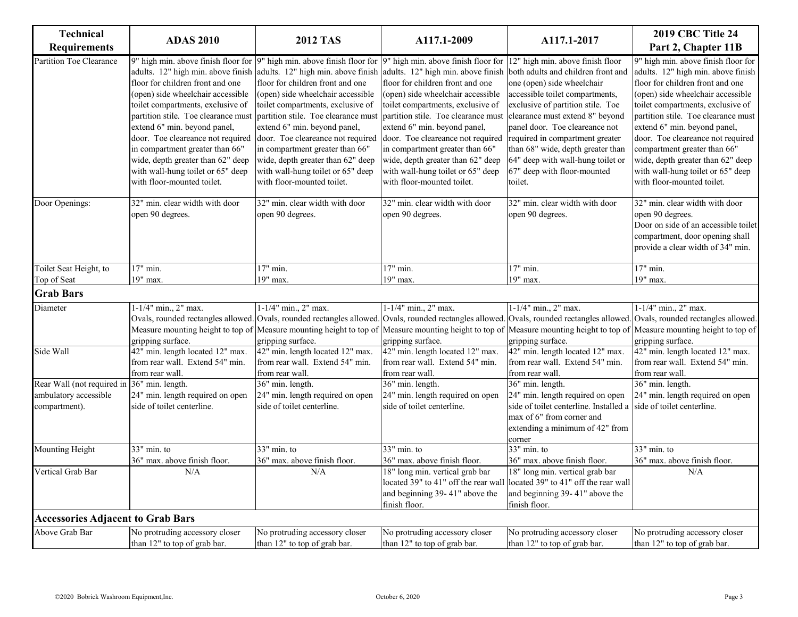| Technical<br><b>Requirements</b>         | <b>ADAS 2010</b>                                                                                                                                                                                                                                                                                                                                                | <b>2012 TAS</b>                                                                                                                                                                                                                                                                                                                                                                                                                                                                                                                                                                             | A117.1-2009                                                                                                                                                                                                                                                                                                                                                                                                                                | A117.1-2017                                                                                                                                                                                                                                                                                                                    | <b>2019 CBC Title 24</b><br>Part 2, Chapter 11B                                                                                                                                                                                                                                                                                                                                                                                             |
|------------------------------------------|-----------------------------------------------------------------------------------------------------------------------------------------------------------------------------------------------------------------------------------------------------------------------------------------------------------------------------------------------------------------|---------------------------------------------------------------------------------------------------------------------------------------------------------------------------------------------------------------------------------------------------------------------------------------------------------------------------------------------------------------------------------------------------------------------------------------------------------------------------------------------------------------------------------------------------------------------------------------------|--------------------------------------------------------------------------------------------------------------------------------------------------------------------------------------------------------------------------------------------------------------------------------------------------------------------------------------------------------------------------------------------------------------------------------------------|--------------------------------------------------------------------------------------------------------------------------------------------------------------------------------------------------------------------------------------------------------------------------------------------------------------------------------|---------------------------------------------------------------------------------------------------------------------------------------------------------------------------------------------------------------------------------------------------------------------------------------------------------------------------------------------------------------------------------------------------------------------------------------------|
| Partition Toe Clearance                  | adults. 12" high min. above finish<br>floor for children front and one<br>open) side wheelchair accessible<br>toilet compartments, exclusive of<br>extend 6" min. beyond panel,<br>door. Toe cleareance not required<br>in compartment greater than 66"<br>wide, depth greater than 62" deep<br>with wall-hung toilet or 65" deep<br>with floor-mounted toilet. | 9" high min. above finish floor for 9" high min. above finish floor for 9" high min. above finish floor for 12" high min. above finish floor<br>adults. 12" high min. above finish<br>floor for children front and one<br>(open) side wheelchair accessible<br>toilet compartments, exclusive of<br>partition stile. Toe clearance must partition stile. Toe clearance must<br>extend 6" min. beyond panel,<br>door. Toe cleareance not required<br>in compartment greater than 66"<br>wide, depth greater than 62" deep<br>with wall-hung toilet or 65" deep<br>with floor-mounted toilet. | adults. 12" high min. above finish both adults and children front and<br>floor for children front and one<br>(open) side wheelchair accessible<br>toilet compartments, exclusive of<br>partition stile. Toe clearance must<br>extend 6" min. beyond panel,<br>door. Toe cleareance not required<br>in compartment greater than 66"<br>wide, depth greater than 62" deep<br>with wall-hung toilet or 65" deep<br>with floor-mounted toilet. | one (open) side wheelchair<br>accessible toilet compartments,<br>exclusive of partition stile. Toe<br>clearance must extend 8" beyond<br>panel door. Toe cleareance not<br>required in compartment greater<br>than 68" wide, depth greater than<br>64" deep with wall-hung toilet or<br>67" deep with floor-mounted<br>toilet. | 9" high min. above finish floor for<br>adults. 12" high min. above finish<br>floor for children front and one<br>(open) side wheelchair accessible<br>toilet compartments, exclusive of<br>partition stile. Toe clearance must<br>extend 6" min. beyond panel,<br>door. Toe cleareance not required<br>compartment greater than 66"<br>wide, depth greater than 62" deep<br>with wall-hung toilet or 65" deep<br>with floor-mounted toilet. |
| Door Openings:                           | 32" min. clear width with door<br>open 90 degrees.                                                                                                                                                                                                                                                                                                              | 32" min. clear width with door<br>open 90 degrees.                                                                                                                                                                                                                                                                                                                                                                                                                                                                                                                                          | 32" min. clear width with door<br>open 90 degrees.                                                                                                                                                                                                                                                                                                                                                                                         | 32" min. clear width with door<br>open 90 degrees.                                                                                                                                                                                                                                                                             | 32" min. clear width with door<br>open 90 degrees.<br>Door on side of an accessible toilet<br>compartment, door opening shall<br>provide a clear width of 34" min.                                                                                                                                                                                                                                                                          |
| Toilet Seat Height, to                   | 17" min.                                                                                                                                                                                                                                                                                                                                                        | 17" min.                                                                                                                                                                                                                                                                                                                                                                                                                                                                                                                                                                                    | 17" min.                                                                                                                                                                                                                                                                                                                                                                                                                                   | 17" min.                                                                                                                                                                                                                                                                                                                       | 17" min.                                                                                                                                                                                                                                                                                                                                                                                                                                    |
| Top of Seat                              | 19" max.                                                                                                                                                                                                                                                                                                                                                        | 19" max.                                                                                                                                                                                                                                                                                                                                                                                                                                                                                                                                                                                    | 19" max.                                                                                                                                                                                                                                                                                                                                                                                                                                   | 19" max.                                                                                                                                                                                                                                                                                                                       | 19" max.                                                                                                                                                                                                                                                                                                                                                                                                                                    |
| <b>Grab Bars</b>                         |                                                                                                                                                                                                                                                                                                                                                                 |                                                                                                                                                                                                                                                                                                                                                                                                                                                                                                                                                                                             |                                                                                                                                                                                                                                                                                                                                                                                                                                            |                                                                                                                                                                                                                                                                                                                                |                                                                                                                                                                                                                                                                                                                                                                                                                                             |
| Diameter                                 | 1-1/4" min., 2" max.                                                                                                                                                                                                                                                                                                                                            | $1 - 1/4$ " min., 2" max.                                                                                                                                                                                                                                                                                                                                                                                                                                                                                                                                                                   | 1-1/4" min., 2" max.                                                                                                                                                                                                                                                                                                                                                                                                                       | 1-1/4" min., 2" max.                                                                                                                                                                                                                                                                                                           | 1-1/4" min., 2" max.                                                                                                                                                                                                                                                                                                                                                                                                                        |
|                                          | tripping surface.                                                                                                                                                                                                                                                                                                                                               | Measure mounting height to top of Measure mounting height to top of<br>gripping surface.                                                                                                                                                                                                                                                                                                                                                                                                                                                                                                    | gripping surface.                                                                                                                                                                                                                                                                                                                                                                                                                          | Measure mounting height to top of Measure mounting height to top of<br>gripping surface.                                                                                                                                                                                                                                       | Ovals, rounded rectangles allowed. Ovals, rounded rectangles allowed. Ovals, rounded rectangles allowed. Ovals, rounded rectangles allowed. Ovals, rounded rectangles allowed.<br>Measure mounting height to top of<br>gripping surface.                                                                                                                                                                                                    |
| Side Wall                                | 42" min. length located 12" max.<br>from rear wall. Extend 54" min.<br>from rear wall.                                                                                                                                                                                                                                                                          | 42" min. length located 12" max.<br>from rear wall. Extend 54" min.<br>from rear wall.                                                                                                                                                                                                                                                                                                                                                                                                                                                                                                      | 42" min. length located 12" max.<br>from rear wall. Extend 54" min.<br>from rear wall.                                                                                                                                                                                                                                                                                                                                                     | 42" min. length located 12" max.<br>from rear wall. Extend 54" min.<br>from rear wall.                                                                                                                                                                                                                                         | 42" min. length located 12" max.<br>from rear wall. Extend 54" min.<br>from rear wall.                                                                                                                                                                                                                                                                                                                                                      |
| Rear Wall (not required in               | 36" min. length.                                                                                                                                                                                                                                                                                                                                                | 36" min. length.                                                                                                                                                                                                                                                                                                                                                                                                                                                                                                                                                                            | 36" min. length.                                                                                                                                                                                                                                                                                                                                                                                                                           | 36" min. length.                                                                                                                                                                                                                                                                                                               | 36" min. length.                                                                                                                                                                                                                                                                                                                                                                                                                            |
| ambulatory accessible                    | 24" min. length required on open                                                                                                                                                                                                                                                                                                                                | 24" min. length required on open                                                                                                                                                                                                                                                                                                                                                                                                                                                                                                                                                            | 24" min. length required on open                                                                                                                                                                                                                                                                                                                                                                                                           | 24" min. length required on open                                                                                                                                                                                                                                                                                               | 24" min. length required on open                                                                                                                                                                                                                                                                                                                                                                                                            |
| compartment).                            | side of toilet centerline.                                                                                                                                                                                                                                                                                                                                      | side of toilet centerline.                                                                                                                                                                                                                                                                                                                                                                                                                                                                                                                                                                  | side of toilet centerline.                                                                                                                                                                                                                                                                                                                                                                                                                 | side of toilet centerline. Installed a<br>max of 6" from corner and<br>extending a minimum of 42" from<br>corner                                                                                                                                                                                                               | side of toilet centerline.                                                                                                                                                                                                                                                                                                                                                                                                                  |
| <b>Mounting Height</b>                   | $33"$ min. to<br>36" max. above finish floor.                                                                                                                                                                                                                                                                                                                   | $33"$ min. to<br>36" max. above finish floor.                                                                                                                                                                                                                                                                                                                                                                                                                                                                                                                                               | $33"$ min. to<br>36" max. above finish floor.                                                                                                                                                                                                                                                                                                                                                                                              | $33$ " min. to<br>36" max. above finish floor.                                                                                                                                                                                                                                                                                 | $33"$ min. to<br>36" max. above finish floor.                                                                                                                                                                                                                                                                                                                                                                                               |
| Vertical Grab Bar                        | N/A                                                                                                                                                                                                                                                                                                                                                             | N/A                                                                                                                                                                                                                                                                                                                                                                                                                                                                                                                                                                                         | 18" long min. vertical grab bar                                                                                                                                                                                                                                                                                                                                                                                                            | 18" long min. vertical grab bar                                                                                                                                                                                                                                                                                                | N/A                                                                                                                                                                                                                                                                                                                                                                                                                                         |
|                                          |                                                                                                                                                                                                                                                                                                                                                                 |                                                                                                                                                                                                                                                                                                                                                                                                                                                                                                                                                                                             | located 39" to 41" off the rear wal<br>and beginning 39-41" above the<br>finish floor.                                                                                                                                                                                                                                                                                                                                                     | located 39" to 41" off the rear wall<br>and beginning 39-41" above the<br>finish floor.                                                                                                                                                                                                                                        |                                                                                                                                                                                                                                                                                                                                                                                                                                             |
| <b>Accessories Adjacent to Grab Bars</b> |                                                                                                                                                                                                                                                                                                                                                                 |                                                                                                                                                                                                                                                                                                                                                                                                                                                                                                                                                                                             |                                                                                                                                                                                                                                                                                                                                                                                                                                            |                                                                                                                                                                                                                                                                                                                                |                                                                                                                                                                                                                                                                                                                                                                                                                                             |
| Above Grab Bar                           | No protruding accessory closer                                                                                                                                                                                                                                                                                                                                  | No protruding accessory closer                                                                                                                                                                                                                                                                                                                                                                                                                                                                                                                                                              | No protruding accessory closer                                                                                                                                                                                                                                                                                                                                                                                                             | No protruding accessory closer                                                                                                                                                                                                                                                                                                 | No protruding accessory closer                                                                                                                                                                                                                                                                                                                                                                                                              |
|                                          | than 12" to top of grab bar.                                                                                                                                                                                                                                                                                                                                    | than 12" to top of grab bar.                                                                                                                                                                                                                                                                                                                                                                                                                                                                                                                                                                | than 12" to top of grab bar.                                                                                                                                                                                                                                                                                                                                                                                                               | than 12" to top of grab bar.                                                                                                                                                                                                                                                                                                   | than 12" to top of grab bar.                                                                                                                                                                                                                                                                                                                                                                                                                |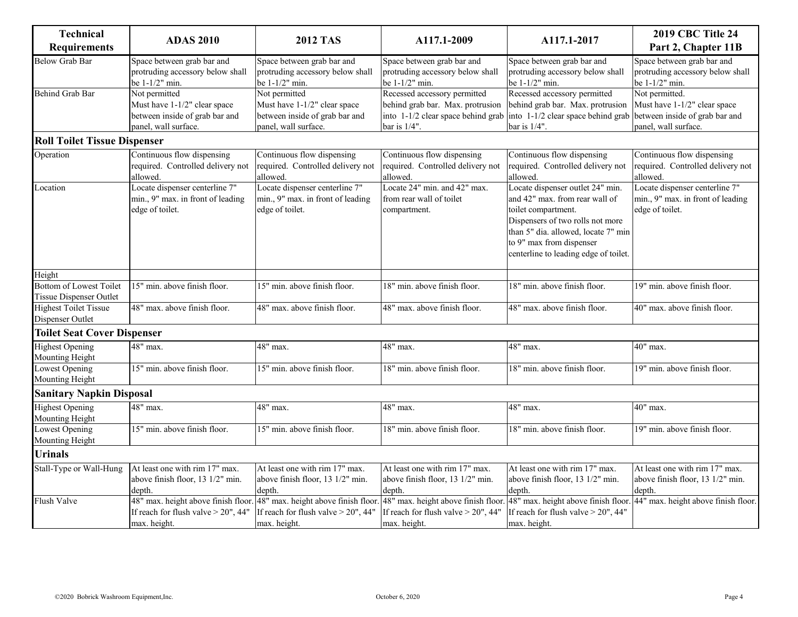| <b>Technical</b><br><b>Requirements</b>                   | <b>ADAS 2010</b>                                                                                        | <b>2012 TAS</b>                                                                                         | A117.1-2009                                                                                                                                                  | A117.1-2017                                                                                                                                                                                                                               | <b>2019 CBC Title 24</b><br>Part 2, Chapter 11B                                                          |
|-----------------------------------------------------------|---------------------------------------------------------------------------------------------------------|---------------------------------------------------------------------------------------------------------|--------------------------------------------------------------------------------------------------------------------------------------------------------------|-------------------------------------------------------------------------------------------------------------------------------------------------------------------------------------------------------------------------------------------|----------------------------------------------------------------------------------------------------------|
| <b>Below Grab Bar</b>                                     | Space between grab bar and<br>protruding accessory below shall<br>be 1-1/2" min.                        | Space between grab bar and<br>protruding accessory below shall<br>be 1-1/2" min.                        | Space between grab bar and<br>protruding accessory below shall<br>be 1-1/2" min.                                                                             | Space between grab bar and<br>protruding accessory below shall<br>be 1-1/2" min.                                                                                                                                                          | Space between grab bar and<br>protruding accessory below shall<br>be 1-1/2" min.                         |
| <b>Behind Grab Bar</b>                                    | Not permitted<br>Must have 1-1/2" clear space<br>between inside of grab bar and<br>panel, wall surface. | Not permitted<br>Must have 1-1/2" clear space<br>between inside of grab bar and<br>panel, wall surface. | Recessed accessory permitted<br>behind grab bar. Max. protrusion<br>into 1-1/2 clear space behind grab into 1-1/2 clear space behind grab<br>bar is $1/4$ ". | Recessed accessory permitted<br>behind grab bar. Max. protrusion<br>bar is 1/4".                                                                                                                                                          | Not permitted.<br>Must have 1-1/2" clear space<br>between inside of grab bar and<br>panel, wall surface. |
| <b>Roll Toilet Tissue Dispenser</b>                       |                                                                                                         |                                                                                                         |                                                                                                                                                              |                                                                                                                                                                                                                                           |                                                                                                          |
| Operation                                                 | Continuous flow dispensing<br>required. Controlled delivery not<br>allowed.                             | Continuous flow dispensing<br>required. Controlled delivery not<br>allowed.                             | Continuous flow dispensing<br>required. Controlled delivery not<br>allowed.                                                                                  | Continuous flow dispensing<br>required. Controlled delivery not<br>allowed.                                                                                                                                                               | Continuous flow dispensing<br>required. Controlled delivery not<br>allowed.                              |
| Location                                                  | Locate dispenser centerline 7"<br>min., 9" max. in front of leading<br>edge of toilet.                  | Locate dispenser centerline 7"<br>min., 9" max. in front of leading<br>edge of toilet.                  | Locate 24" min. and 42" max.<br>from rear wall of toilet<br>compartment.                                                                                     | Locate dispenser outlet 24" min.<br>and 42" max. from rear wall of<br>toilet compartment.<br>Dispensers of two rolls not more<br>than 5" dia. allowed, locate 7" min<br>to 9" max from dispenser<br>centerline to leading edge of toilet. | Locate dispenser centerline 7"<br>min., 9" max. in front of leading<br>edge of toilet.                   |
| Height                                                    |                                                                                                         |                                                                                                         |                                                                                                                                                              |                                                                                                                                                                                                                                           |                                                                                                          |
| <b>Bottom of Lowest Toilet</b><br>Tissue Dispenser Outlet | 15" min. above finish floor.                                                                            | 15" min. above finish floor.                                                                            | 18" min. above finish floor.                                                                                                                                 | 18" min. above finish floor.                                                                                                                                                                                                              | 19" min. above finish floor.                                                                             |
| <b>Highest Toilet Tissue</b><br>Dispenser Outlet          | 48" max. above finish floor.                                                                            | 48" max. above finish floor.                                                                            | 48" max. above finish floor.                                                                                                                                 | 48" max. above finish floor.                                                                                                                                                                                                              | 40" max. above finish floor.                                                                             |
| <b>Toilet Seat Cover Dispenser</b>                        |                                                                                                         |                                                                                                         |                                                                                                                                                              |                                                                                                                                                                                                                                           |                                                                                                          |
| <b>Highest Opening</b><br>Mounting Height                 | 48" max.                                                                                                | 48" max.                                                                                                | 48" max.                                                                                                                                                     | 48" max.                                                                                                                                                                                                                                  | $40"$ max.                                                                                               |
| Lowest Opening<br>Mounting Height                         | 15" min. above finish floor.                                                                            | 15" min. above finish floor.                                                                            | 18" min. above finish floor.                                                                                                                                 | 18" min. above finish floor.                                                                                                                                                                                                              | 19" min. above finish floor.                                                                             |
| <b>Sanitary Napkin Disposal</b>                           |                                                                                                         |                                                                                                         |                                                                                                                                                              |                                                                                                                                                                                                                                           |                                                                                                          |
| <b>Highest Opening</b><br>Mounting Height                 | 48" max.                                                                                                | 48" max.                                                                                                | 48" max.                                                                                                                                                     | 48" max.                                                                                                                                                                                                                                  | 40" max.                                                                                                 |
| Lowest Opening<br>Mounting Height                         | 15" min. above finish floor.                                                                            | 15" min. above finish floor.                                                                            | 18" min. above finish floor.                                                                                                                                 | 18" min. above finish floor.                                                                                                                                                                                                              | 19" min. above finish floor.                                                                             |
| <b>Urinals</b>                                            |                                                                                                         |                                                                                                         |                                                                                                                                                              |                                                                                                                                                                                                                                           |                                                                                                          |
| Stall-Type or Wall-Hung                                   | At least one with rim 17" max.<br>above finish floor, 13 1/2" min.<br>depth.                            | At least one with rim 17" max.<br>above finish floor, 13 1/2" min.<br>depth.                            | At least one with rim 17" max.<br>above finish floor, 13 1/2" min.<br>depth.                                                                                 | At least one with rim 17" max.<br>above finish floor, 13 1/2" min.<br>depth.                                                                                                                                                              | At least one with rim 17" max.<br>above finish floor, 13 1/2" min.<br>depth.                             |
| <b>Flush Valve</b>                                        | 48" max. height above finish floor.<br>If reach for flush valve $>$ 20", 44"<br>max. height.            | 48" max. height above finish floor.<br>If reach for flush valve > 20", 44"<br>max. height.              | 48" max. height above finish floor<br>If reach for flush valve $>$ 20", 44"<br>max. height.                                                                  | 48" max. height above finish floor.<br>If reach for flush valve > 20", 44"<br>max. height.                                                                                                                                                | 44" max. height above finish floor.                                                                      |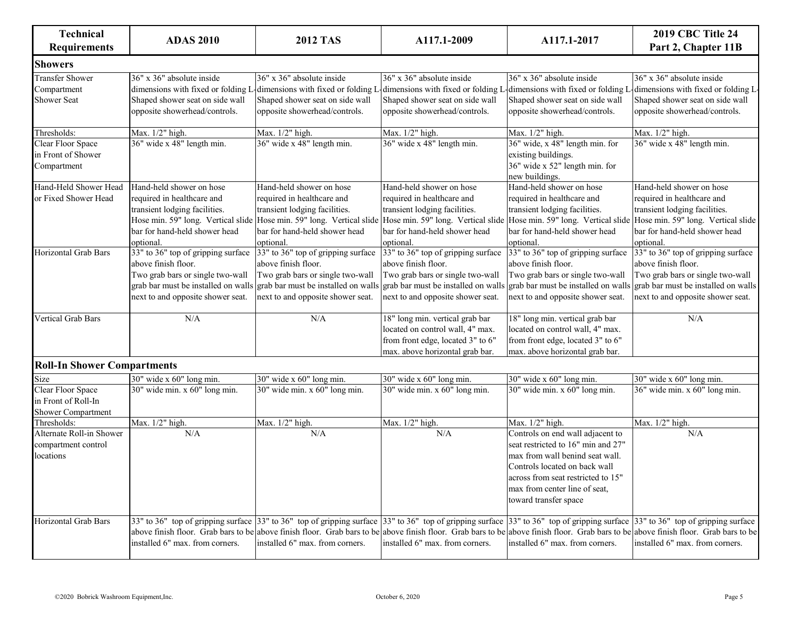| <b>Technical</b><br><b>Requirements</b>                               | <b>ADAS 2010</b>                                                                                                                                                          | <b>2012 TAS</b>                                                                                                                                                           | A117.1-2009                                                                                                                                                                                                                                                                          | A117.1-2017                                                                                                                                                                                                                                | <b>2019 CBC Title 24</b><br>Part 2, Chapter 11B                                                                                                                             |
|-----------------------------------------------------------------------|---------------------------------------------------------------------------------------------------------------------------------------------------------------------------|---------------------------------------------------------------------------------------------------------------------------------------------------------------------------|--------------------------------------------------------------------------------------------------------------------------------------------------------------------------------------------------------------------------------------------------------------------------------------|--------------------------------------------------------------------------------------------------------------------------------------------------------------------------------------------------------------------------------------------|-----------------------------------------------------------------------------------------------------------------------------------------------------------------------------|
| <b>Showers</b>                                                        |                                                                                                                                                                           |                                                                                                                                                                           |                                                                                                                                                                                                                                                                                      |                                                                                                                                                                                                                                            |                                                                                                                                                                             |
| <b>Transfer Shower</b><br>Compartment<br><b>Shower Seat</b>           | 36" x 36" absolute inside<br>dimensions with fixed or folding L<br>Shaped shower seat on side wall<br>opposite showerhead/controls.                                       | 36" x 36" absolute inside<br>dimensions with fixed or folding L<br>Shaped shower seat on side wall<br>opposite showerhead/controls.                                       | 36" x 36" absolute inside<br>dimensions with fixed or folding l<br>Shaped shower seat on side wall<br>opposite showerhead/controls.                                                                                                                                                  | 36" x 36" absolute inside<br>dimensions with fixed or folding l<br>Shaped shower seat on side wall<br>opposite showerhead/controls.                                                                                                        | $36" \times 36"$ absolute inside<br>dimensions with fixed or folding I<br>Shaped shower seat on side wall<br>opposite showerhead/controls.                                  |
| Thresholds:                                                           | Max. 1/2" high.                                                                                                                                                           | Max. 1/2" high.                                                                                                                                                           | Max. 1/2" high.                                                                                                                                                                                                                                                                      | Max. 1/2" high.                                                                                                                                                                                                                            | Max. 1/2" high.                                                                                                                                                             |
| <b>Clear Floor Space</b><br>in Front of Shower<br>Compartment         | 36" wide x 48" length min.                                                                                                                                                | 36" wide x 48" length min.                                                                                                                                                | 36" wide x 48" length min.                                                                                                                                                                                                                                                           | 36" wide, x 48" length min. for<br>existing buildings.<br>36" wide x 52" length min. for<br>new buildings.                                                                                                                                 | 36" wide x 48" length min.                                                                                                                                                  |
| Hand-Held Shower Head<br>or Fixed Shower Head                         | Hand-held shower on hose<br>required in healthcare and<br>transient lodging facilities.<br>bar for hand-held shower head<br>optional.                                     | Hand-held shower on hose<br>required in healthcare and<br>transient lodging facilities.<br>bar for hand-held shower head<br>optional.                                     | Hand-held shower on hose<br>required in healthcare and<br>transient lodging facilities.<br>Hose min. 59" long. Vertical slide Hose min. 59" long. Vertical slide Hose min. 59" long. Vertical slide Hose min. 59" long. Vertical slide<br>bar for hand-held shower head<br>optional. | Hand-held shower on hose<br>required in healthcare and<br>transient lodging facilities.<br>bar for hand-held shower head<br>optional.                                                                                                      | Hand-held shower on hose<br>required in healthcare and<br>transient lodging facilities.<br>Hose min. 59" long. Vertical slide<br>bar for hand-held shower head<br>optional. |
| <b>Horizontal Grab Bars</b>                                           | 33" to 36" top of gripping surface<br>above finish floor.<br>Two grab bars or single two-wall<br>grab bar must be installed on walls<br>next to and opposite shower seat. | 33" to 36" top of gripping surface<br>above finish floor.<br>Two grab bars or single two-wall<br>grab bar must be installed on walls<br>next to and opposite shower seat. | 33" to 36" top of gripping surface<br>above finish floor.<br>Two grab bars or single two-wall<br>grab bar must be installed on wall<br>next to and opposite shower seat.                                                                                                             | 33" to 36" top of gripping surface<br>above finish floor.<br>Two grab bars or single two-wall<br>grab bar must be installed on wall<br>next to and opposite shower seat.                                                                   | 33" to 36" top of gripping surface<br>above finish floor.<br>Two grab bars or single two-wall<br>grab bar must be installed on walls<br>next to and opposite shower seat.   |
| Vertical Grab Bars                                                    | N/A                                                                                                                                                                       | N/A                                                                                                                                                                       | 18" long min. vertical grab bar<br>located on control wall, 4" max.<br>from front edge, located 3" to 6"<br>max. above horizontal grab bar.                                                                                                                                          | 18" long min. vertical grab bar<br>located on control wall, 4" max.<br>from front edge, located 3" to 6"<br>max. above horizontal grab bar.                                                                                                | N/A                                                                                                                                                                         |
| <b>Roll-In Shower Compartments</b>                                    |                                                                                                                                                                           |                                                                                                                                                                           |                                                                                                                                                                                                                                                                                      |                                                                                                                                                                                                                                            |                                                                                                                                                                             |
| Size                                                                  | 30" wide x 60" long min.                                                                                                                                                  | 30" wide x 60" long min.                                                                                                                                                  | 30" wide x 60" long min.                                                                                                                                                                                                                                                             | 30" wide x 60" long min.                                                                                                                                                                                                                   | 30" wide x 60" long min.                                                                                                                                                    |
| Clear Floor Space<br>in Front of Roll-In<br><b>Shower Compartment</b> | 30" wide min. x 60" long min.                                                                                                                                             | $30"$ wide min. x $60"$ long min.                                                                                                                                         | 30" wide min. x 60" long min.                                                                                                                                                                                                                                                        | $30"$ wide min. x $60"$ long min.                                                                                                                                                                                                          | $36"$ wide min. x $60"$ long min.                                                                                                                                           |
| Thresholds:                                                           | Max. 1/2" high.                                                                                                                                                           | Max. 1/2" high.                                                                                                                                                           | Max. 1/2" high.                                                                                                                                                                                                                                                                      | Max. 1/2" high.                                                                                                                                                                                                                            | Max. 1/2" high.                                                                                                                                                             |
| Alternate Roll-in Shower<br>compartment control<br>locations          | N/A                                                                                                                                                                       | N/A                                                                                                                                                                       | N/A                                                                                                                                                                                                                                                                                  | Controls on end wall adjacent to<br>seat restricted to 16" min and 27"<br>max from wall benind seat wall.<br>Controls located on back wall<br>across from seat restricted to 15"<br>max from center line of seat,<br>toward transfer space | N/A                                                                                                                                                                         |
| Horizontal Grab Bars                                                  |                                                                                                                                                                           |                                                                                                                                                                           | 33" to 36" top of gripping surface 33" to 36" top of gripping surface 33" to 36" top of gripping surface 33" to 36" top of gripping surface 33" to 36" top of gripping surface                                                                                                       |                                                                                                                                                                                                                                            |                                                                                                                                                                             |

installed 6" max. from corners.

installed 6" max. from corners.

above finish floor. Grab bars to be above finish floor. Grab bars to be above finish floor. Grab floor. Grab bars to be be above finish floor. Grab bars to be above finish floor. Grab bars to be

installed 6" max. from corners.

installed 6" max. from corners.

installed 6" max. from corners.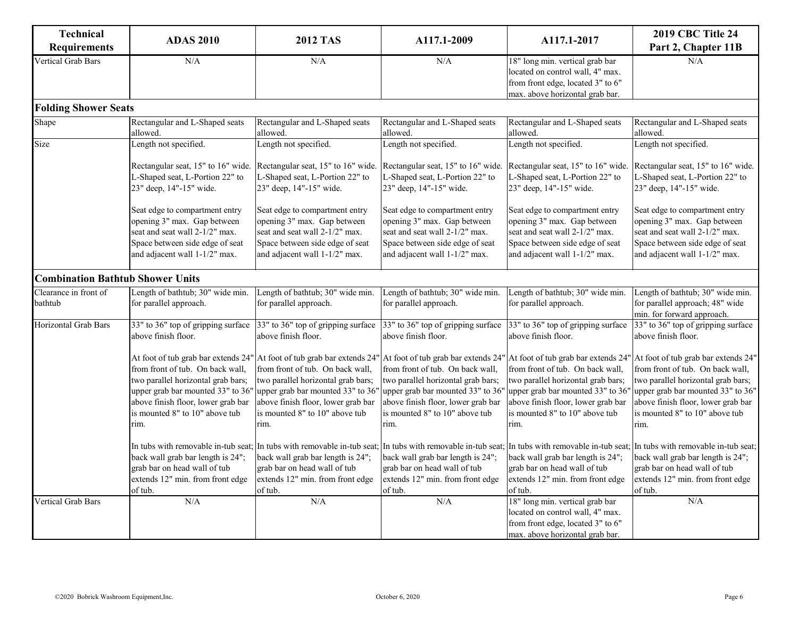| <b>Technical</b><br><b>Requirements</b> | <b>ADAS 2010</b>                                                                                                                                                                            | <b>2012 TAS</b>                                                                                                                                                                                                                                                        | A117.1-2009                                                                                                                                                                                                                                                            | A117.1-2017                                                                                                                                                                                 | <b>2019 CBC Title 24</b><br>Part 2, Chapter 11B                                                                                                                                                                                    |
|-----------------------------------------|---------------------------------------------------------------------------------------------------------------------------------------------------------------------------------------------|------------------------------------------------------------------------------------------------------------------------------------------------------------------------------------------------------------------------------------------------------------------------|------------------------------------------------------------------------------------------------------------------------------------------------------------------------------------------------------------------------------------------------------------------------|---------------------------------------------------------------------------------------------------------------------------------------------------------------------------------------------|------------------------------------------------------------------------------------------------------------------------------------------------------------------------------------------------------------------------------------|
| Vertical Grab Bars                      | N/A                                                                                                                                                                                         | N/A                                                                                                                                                                                                                                                                    | N/A                                                                                                                                                                                                                                                                    | 18" long min. vertical grab bar<br>located on control wall, 4" max.<br>from front edge, located 3" to 6"<br>max. above horizontal grab bar.                                                 | N/A                                                                                                                                                                                                                                |
| <b>Folding Shower Seats</b>             |                                                                                                                                                                                             |                                                                                                                                                                                                                                                                        |                                                                                                                                                                                                                                                                        |                                                                                                                                                                                             |                                                                                                                                                                                                                                    |
| Shape                                   | Rectangular and L-Shaped seats<br>allowed.                                                                                                                                                  | Rectangular and L-Shaped seats<br>allowed.                                                                                                                                                                                                                             | Rectangular and L-Shaped seats<br>allowed.                                                                                                                                                                                                                             | Rectangular and L-Shaped seats<br>allowed.                                                                                                                                                  | Rectangular and L-Shaped seats<br>allowed.                                                                                                                                                                                         |
| Size                                    | Length not specified.                                                                                                                                                                       | Length not specified.                                                                                                                                                                                                                                                  | Length not specified.                                                                                                                                                                                                                                                  | Length not specified.                                                                                                                                                                       | Length not specified.                                                                                                                                                                                                              |
|                                         | Rectangular seat, 15" to 16" wide.<br>L-Shaped seat, L-Portion 22" to<br>23" deep, 14"-15" wide.                                                                                            | Rectangular seat, 15" to 16" wide.<br>L-Shaped seat, L-Portion 22" to<br>23" deep, 14"-15" wide.                                                                                                                                                                       | Rectangular seat, 15" to 16" wide.<br>L-Shaped seat, L-Portion 22" to<br>23" deep, 14"-15" wide.                                                                                                                                                                       | Rectangular seat, 15" to 16" wide.<br>L-Shaped seat, L-Portion 22" to<br>23" deep, 14"-15" wide.                                                                                            | Rectangular seat, 15" to 16" wide.<br>L-Shaped seat, L-Portion 22" to<br>23" deep, 14"-15" wide.                                                                                                                                   |
|                                         | Seat edge to compartment entry<br>opening 3" max. Gap between<br>seat and seat wall 2-1/2" max.<br>Space between side edge of seat<br>and adjacent wall 1-1/2" max.                         | Seat edge to compartment entry<br>opening 3" max. Gap between<br>seat and seat wall 2-1/2" max.<br>Space between side edge of seat<br>and adjacent wall 1-1/2" max.                                                                                                    | Seat edge to compartment entry<br>opening 3" max. Gap between<br>seat and seat wall 2-1/2" max.<br>Space between side edge of seat<br>and adjacent wall 1-1/2" max.                                                                                                    | Seat edge to compartment entry<br>opening 3" max. Gap between<br>seat and seat wall 2-1/2" max.<br>Space between side edge of seat<br>and adjacent wall 1-1/2" max.                         | Seat edge to compartment entry<br>opening 3" max. Gap between<br>seat and seat wall 2-1/2" max.<br>Space between side edge of seat<br>and adjacent wall 1-1/2" max.                                                                |
| <b>Combination Bathtub Shower Units</b> |                                                                                                                                                                                             |                                                                                                                                                                                                                                                                        |                                                                                                                                                                                                                                                                        |                                                                                                                                                                                             |                                                                                                                                                                                                                                    |
| Clearance in front of<br>bathtub        | Length of bathtub; 30" wide min.<br>for parallel approach.                                                                                                                                  | Length of bathtub; 30" wide min.<br>for parallel approach.                                                                                                                                                                                                             | Length of bathtub; 30" wide min.<br>for parallel approach.                                                                                                                                                                                                             | Length of bathtub; 30" wide min.<br>for parallel approach.                                                                                                                                  | Length of bathtub; 30" wide min.<br>for parallel approach; 48" wide<br>min. for forward approach.                                                                                                                                  |
| Horizontal Grab Bars                    | 33" to 36" top of gripping surface<br>above finish floor.                                                                                                                                   | 33" to 36" top of gripping surface<br>above finish floor.                                                                                                                                                                                                              | 33" to 36" top of gripping surface<br>above finish floor.                                                                                                                                                                                                              | 33" to 36" top of gripping surface<br>above finish floor.                                                                                                                                   | 33" to 36" top of gripping surface<br>above finish floor.                                                                                                                                                                          |
|                                         | from front of tub. On back wall,<br>two parallel horizontal grab bars;<br>upper grab bar mounted 33" to 36"<br>above finish floor, lower grab bar<br>is mounted 8" to 10" above tub<br>rim. | At foot of tub grab bar extends 24" At foot of tub grab bar extends 24"<br>from front of tub. On back wall,<br>two parallel horizontal grab bars;<br>upper grab bar mounted 33" to 36"<br>above finish floor, lower grab bar<br>is mounted 8" to 10" above tub<br>rim. | At foot of tub grab bar extends 24" At foot of tub grab bar extends 24"<br>from front of tub. On back wall,<br>two parallel horizontal grab bars;<br>upper grab bar mounted 33" to 36"<br>above finish floor, lower grab bar<br>is mounted 8" to 10" above tub<br>rim. | from front of tub. On back wall,<br>two parallel horizontal grab bars;<br>upper grab bar mounted 33" to 36'<br>above finish floor, lower grab bar<br>is mounted 8" to 10" above tub<br>rim. | At foot of tub grab bar extends 24"<br>from front of tub. On back wall,<br>two parallel horizontal grab bars;<br>upper grab bar mounted 33" to 36"<br>above finish floor, lower grab bar<br>is mounted 8" to 10" above tub<br>rim. |
|                                         | back wall grab bar length is 24";<br>grab bar on head wall of tub<br>extends 12" min. from front edge<br>of tub.                                                                            | In tubs with removable in-tub seat; In tubs with removable in-tub seat;<br>back wall grab bar length is 24";<br>grab bar on head wall of tub<br>extends 12" min. from front edge<br>of tub.                                                                            | back wall grab bar length is 24";<br>grab bar on head wall of tub<br>extends 12" min. from front edge<br>of tub.                                                                                                                                                       | back wall grab bar length is 24";<br>grab bar on head wall of tub<br>extends 12" min. from front edge<br>of tub.                                                                            | In tubs with removable in-tub seat; In tubs with removable in-tub seat; In tubs with removable in-tub seat;<br>back wall grab bar length is 24";<br>grab bar on head wall of tub<br>extends 12" min. from front edge<br>of tub.    |
| Vertical Grab Bars                      | N/A                                                                                                                                                                                         | N/A                                                                                                                                                                                                                                                                    | N/A                                                                                                                                                                                                                                                                    | 18" long min. vertical grab bar<br>located on control wall, 4" max.<br>from front edge, located 3" to 6"<br>max. above horizontal grab bar.                                                 | N/A                                                                                                                                                                                                                                |